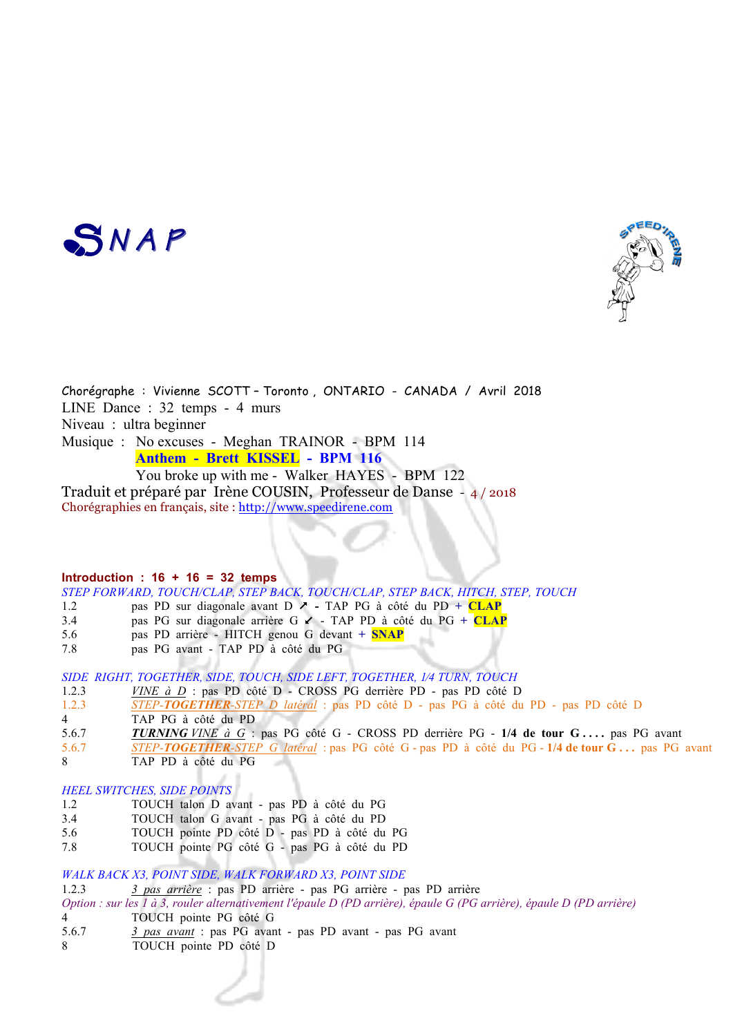



Chorégraphe : Vivienne SCOTT – Toronto , ONTARIO - CANADA / Avril 2018 LINE Dance : 32 temps - 4 murs Niveau : ultra beginner Musique : No excuses - Meghan TRAINOR - BPM 114  **Anthem - Brett KISSEL - BPM 116** You broke up with me - Walker HAYES - BPM 122

Traduit et préparé par Irène COUSIN, Professeur de Danse - 4 / 2018 Chorégraphies en français, site : http://www.speedirene.com

## **Introduction : 16 + 16 = 32 temps**

*STEP FORWARD, TOUCH/CLAP, STEP BACK, TOUCH/CLAP, STEP BACK, HITCH, STEP, TOUCH*

- 1.2 **pas PD sur diagonale avant D**  $\ge$  **TAP PG à côté du PD + CLAP**
- 3.4 pas PG sur diagonale arrière G  $\lt$  TAP PD à côté du PG + CLAP
- 5.6 pas PD arrière HITCH genou G devant **+ SNAP**
- 7.8 pas PG avant TAP PD à côté du PG

*SIDE RIGHT, TOGETHER, SIDE, TOUCH, SIDE LEFT, TOGETHER, 1⁄4 TURN, TOUCH*

- 1.2.3 *VINE à D* : pas PD côté D CROSS PG derrière PD pas PD côté D
- 1.2.3 *STEP-TOGETHER-STEP D latéral* : pas PD côté D pas PG à côté du PD pas PD côté D
- 4 TAP PG à côté du PD
- 5.6.7 *TURNING VINE à G* : pas PG côté G CROSS PD derrière PG **1/4 de tour G . . . .** pas PG avant
- 5.6.7 *STEP-TOGETHER-STEP G latéral* : pas PG côté G pas PD à côté du PG **1/4 de tour G . . .** pas PG avant
- 8 TAP PD à côté du PG

# *HEEL SWITCHES, SIDE POINTS*

- 1.2 TOUCH talon D avant pas PD à côté du PG
- 3.4 TOUCH talon G avant pas PG à côté du PD
- 5.6 TOUCH pointe PD côté D pas PD à côté du PG
- 7.8 TOUCH pointe PG côté G pas PG à côté du PD

## *WALK BACK X3, POINT SIDE, WALK FORWARD X3, POINT SIDE*

- 1.2.3 *3 pas arrière* : pas PD arrière pas PG arrière pas PD arrière
- *Option : sur les 1 à 3, rouler alternativement l'épaule D (PD arrière), épaule G (PG arrière), épaule D (PD arrière)* 4 TOUCH pointe PG côté G
- 5.6.7 *3 pas avant* : pas PG avant pas PD avant pas PG avant
- 8 TOUCH pointe PD côté D